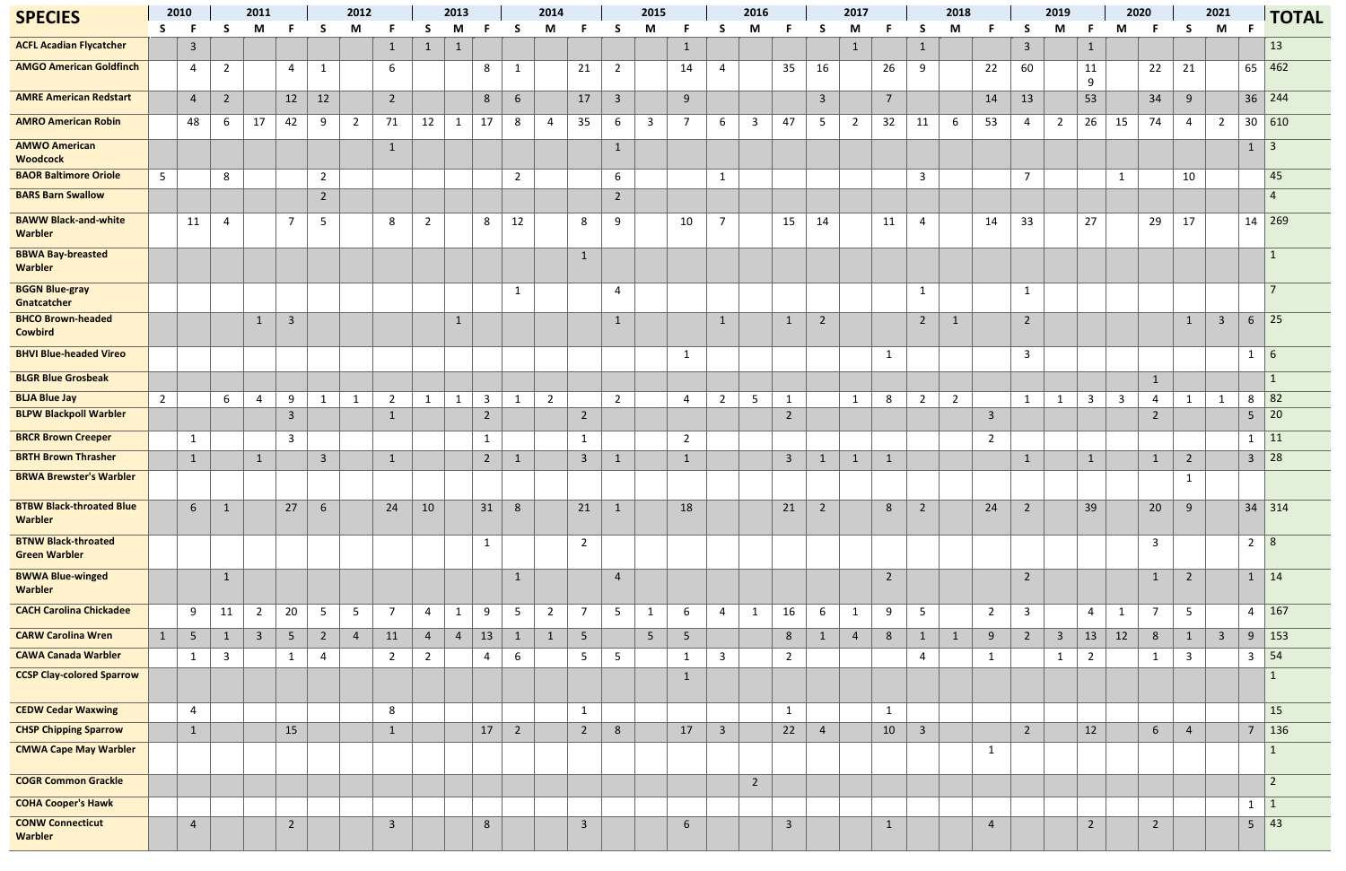| <b>SPECIES</b>                                     | 2010           |                 | 2011            |                |                         | 2012           |                |                         |                | 2013           |                |                | 2014           |                 |                         | 2015           |                |                         | 2016           |                         |                | 2017           |                |                | 2018           |                         |                         | 2019           |                | 2020         |                 |                 | 2021           |                 | <b>TOTAL</b>                       |
|----------------------------------------------------|----------------|-----------------|-----------------|----------------|-------------------------|----------------|----------------|-------------------------|----------------|----------------|----------------|----------------|----------------|-----------------|-------------------------|----------------|----------------|-------------------------|----------------|-------------------------|----------------|----------------|----------------|----------------|----------------|-------------------------|-------------------------|----------------|----------------|--------------|-----------------|-----------------|----------------|-----------------|------------------------------------|
|                                                    | S.             | - F             | S.              | M              |                         | S              | M              |                         | S              | M              |                | -S             | M              |                 | S                       | M              | Е              | <b>S</b>                | M              |                         | -S             | M              |                | S              | M              |                         | <sub>S</sub>            | M              |                | M            |                 | <b>S</b>        | M              | -F              |                                    |
| <b>ACFL Acadian Flycatcher</b>                     |                | $\overline{3}$  |                 |                |                         |                |                | $\mathbf{1}$            | $\mathbf{1}$   | $\mathbf{1}$   |                |                |                |                 |                         |                | $\mathbf{1}$   |                         |                |                         |                | $\mathbf{1}$   |                | $\mathbf{1}$   |                |                         | $\overline{\mathbf{3}}$ |                | $\mathbf{1}$   |              |                 |                 |                |                 | 13                                 |
| <b>AMGO American Goldfinch</b>                     |                | 4               | $\overline{2}$  |                | $\overline{4}$          | $\mathbf{1}$   |                | 6                       |                |                | 8              | $\mathbf{1}$   |                | 21              | $\overline{2}$          |                | 14             | $\overline{4}$          |                | 35                      | 16             |                | 26             | 9              |                | 22                      | 60                      |                | 11<br>9        |              | 22              | 21              |                |                 | 65 462                             |
| <b>AMRE American Redstart</b>                      |                | $\overline{4}$  | $2\overline{ }$ |                | 12                      | 12             |                | $\overline{2}$          |                |                | $8\phantom{1}$ | 6              |                | 17              | $\overline{\mathbf{3}}$ |                | 9              |                         |                |                         | $\overline{3}$ |                | $\overline{7}$ |                |                | 14                      | 13                      |                | 53             |              | 34              | 9               |                |                 | $36 \mid 244$                      |
| <b>AMRO American Robin</b>                         |                | 48              | 6               | 17             | 42                      | 9              | $\overline{2}$ | 71                      | 12             | $\mathbf{1}$   | 17             | 8              | $\overline{4}$ | 35              | 6                       | $\mathbf{3}$   | $\overline{7}$ | 6                       | $\overline{3}$ | 47                      | 5              | $\overline{2}$ | 32             | 11             | 6              | 53                      | $\overline{a}$          | $\overline{2}$ | 26             | 15           | 74              | $\overline{4}$  | $\overline{2}$ | 30 610          |                                    |
| <b>AMWO American</b><br><b>Woodcock</b>            |                |                 |                 |                |                         |                |                | $\mathbf{1}$            |                |                |                |                |                |                 | $\mathbf{1}$            |                |                |                         |                |                         |                |                |                |                |                |                         |                         |                |                |              |                 |                 |                | $\mathbf{1}$    | $\vert 3 \vert$                    |
| <b>BAOR Baltimore Oriole</b>                       | 5 <sup>5</sup> |                 | 8               |                |                         | $\overline{2}$ |                |                         |                |                |                | $\overline{2}$ |                |                 | 6                       |                |                | $\mathbf{1}$            |                |                         |                |                |                | $\overline{3}$ |                |                         | $\overline{7}$          |                |                | $\mathbf{1}$ |                 | 10              |                |                 | 45                                 |
| <b>BARS Barn Swallow</b>                           |                |                 |                 |                |                         | $\overline{2}$ |                |                         |                |                |                |                |                |                 | $2^{\circ}$             |                |                |                         |                |                         |                |                |                |                |                |                         |                         |                |                |              |                 |                 |                |                 | $\overline{4}$                     |
| <b>BAWW Black-and-white</b><br>Warbler             |                | 11              | $\overline{4}$  |                | $\overline{7}$          | 5              |                | 8                       | $\overline{2}$ |                | 8              | 12             |                | 8               | 9                       |                | 10             | $\overline{7}$          |                | 15                      | 14             |                | 11             | $\overline{4}$ |                | 14                      | 33                      |                | 27             |              | 29              | 17              |                |                 | $14 \overline{\smash{\big)}\ 269}$ |
| <b>BBWA Bay-breasted</b><br>Warbler                |                |                 |                 |                |                         |                |                |                         |                |                |                |                |                | $\mathbf{1}$    |                         |                |                |                         |                |                         |                |                |                |                |                |                         |                         |                |                |              |                 |                 |                |                 | $\mathbf{1}$                       |
| <b>BGGN Blue-gray</b><br>Gnatcatcher               |                |                 |                 |                |                         |                |                |                         |                |                |                | $\mathbf{1}$   |                |                 | $\overline{4}$          |                |                |                         |                |                         |                |                |                | $\mathbf{1}$   |                |                         | $\mathbf{1}$            |                |                |              |                 |                 |                |                 |                                    |
| <b>BHCO Brown-headed</b><br><b>Cowbird</b>         |                |                 |                 | $\mathbf{1}$   | $\overline{\mathbf{3}}$ |                |                |                         |                | $\mathbf{1}$   |                |                |                |                 | $1\,$                   |                |                | $\mathbf{1}$            |                | $\mathbf{1}$            | $\overline{2}$ |                |                | $\overline{2}$ | $\mathbf{1}$   |                         | $\overline{2}$          |                |                |              |                 | $\mathbf{1}$    | $\overline{3}$ | $6\overline{6}$ | $\vert$ 25                         |
| <b>BHVI Blue-headed Vireo</b>                      |                |                 |                 |                |                         |                |                |                         |                |                |                |                |                |                 |                         |                | $\mathbf{1}$   |                         |                |                         |                |                | 1              |                |                |                         | $\overline{3}$          |                |                |              |                 |                 |                | $1 \vert 6$     |                                    |
| <b>BLGR Blue Grosbeak</b>                          |                |                 |                 |                |                         |                |                |                         |                |                |                |                |                |                 |                         |                |                |                         |                |                         |                |                |                |                |                |                         |                         |                |                |              | $\mathbf{1}$    |                 |                |                 | $\mathbf{1}$                       |
| <b>BLJA Blue Jay</b>                               | $\overline{2}$ |                 | 6               | $\overline{4}$ | 9                       | $\mathbf 1$    | $\mathbf{1}$   | $\overline{2}$          |                | $\mathbf{1}$   | $\mathbf{3}$   | 1              | $\overline{2}$ |                 | $\overline{2}$          |                | $\overline{4}$ | $\overline{2}$          | $5\phantom{.}$ | $\mathbf{1}$            |                | $\mathbf{1}$   | 8              | $\overline{2}$ | $\overline{2}$ |                         | $\mathbf{1}$            | $\mathbf{1}$   | $\mathbf{3}$   | 3            | 4               | $\mathbf{1}$    | -1             | 8               | 82                                 |
| <b>BLPW Blackpoll Warbler</b>                      |                |                 |                 |                | $\overline{3}$          |                |                | $\mathbf{1}$            |                |                | $\overline{2}$ |                |                | $\overline{2}$  |                         |                |                |                         |                | $\overline{2}$          |                |                |                |                |                | $\overline{\mathbf{3}}$ |                         |                |                |              | $\overline{2}$  |                 |                | 5               | $\vert$ 20                         |
| <b>BRCR Brown Creeper</b>                          |                | $\mathbf{1}$    |                 |                | $\overline{3}$          |                |                |                         |                |                | $\mathbf{1}$   |                |                | $\mathbf{1}$    |                         |                | $\overline{2}$ |                         |                |                         |                |                |                |                |                | $\overline{2}$          |                         |                |                |              |                 |                 |                | $1 \mid 11$     |                                    |
| <b>BRTH Brown Thrasher</b>                         |                | $\mathbf{1}$    |                 | $\mathbf{1}$   |                         | $\mathbf{3}$   |                | $\mathbf{1}$            |                |                | $\overline{2}$ | $\mathbf{1}$   |                | $\overline{3}$  | $\mathbf{1}$            |                | $\mathbf{1}$   |                         |                | $\overline{3}$          | $\mathbf{1}$   | $\mathbf{1}$   | $\mathbf{1}$   |                |                |                         | $\mathbf{1}$            |                | $\mathbf{1}$   |              | $\mathbf{1}$    | $\overline{2}$  |                | $\overline{3}$  | 28                                 |
| <b>BRWA Brewster's Warbler</b>                     |                |                 |                 |                |                         |                |                |                         |                |                |                |                |                |                 |                         |                |                |                         |                |                         |                |                |                |                |                |                         |                         |                |                |              |                 | $\mathbf{1}$    |                |                 |                                    |
| <b>BTBW Black-throated Blue</b><br><b>Warbler</b>  |                | 6               | $\mathbf{1}$    |                | 27                      | 6              |                | 24                      | 10             |                | 31             | 8              |                | 21              | $\mathbf{1}$            |                | 18             |                         |                | 21                      | $\overline{2}$ |                | 8              | $\overline{2}$ |                | 24                      | $\overline{2}$          |                | 39             |              | 20              | 9               |                |                 | $34 \mid 314$                      |
| <b>BTNW Black-throated</b><br><b>Green Warbler</b> |                |                 |                 |                |                         |                |                |                         |                |                | $\mathbf{1}$   |                |                | $\overline{2}$  |                         |                |                |                         |                |                         |                |                |                |                |                |                         |                         |                |                |              | $\overline{3}$  |                 |                | $\overline{2}$  | 8                                  |
| <b>BWWA Blue-winged</b><br>Warbler                 |                |                 | $\mathbf{1}$    |                |                         |                |                |                         |                |                |                | $\mathbf{1}$   |                |                 | $\overline{4}$          |                |                |                         |                |                         |                |                | $\overline{2}$ |                |                |                         | $\overline{2}$          |                |                |              | $\mathbf{1}$    | $\overline{2}$  |                | $1 \mid 14$     |                                    |
| <b>CACH Carolina Chickadee</b>                     |                | 9               | 11              | $\overline{2}$ | 20                      | 5              | 5              | $\overline{7}$          | $\overline{4}$ | $\mathbf{1}$   | 9              | 5 <sub>5</sub> | $\overline{2}$ | $\overline{7}$  | $5\phantom{.}$          | $\mathbf{1}$   | 6              | $\overline{4}$          | $\mathbf{1}$   | 16                      | 6              | $\mathbf{1}$   | 9              | 5 <sub>1</sub> |                | $\overline{2}$          | $\overline{\mathbf{3}}$ |                | $\overline{4}$ | $\mathbf{1}$ | $\overline{7}$  | $5\phantom{.0}$ |                | $\overline{4}$  | 167                                |
| <b>CARW Carolina Wren</b>                          | 1              | $5\overline{)}$ | $\mathbf{1}$    | 3 <sup>1</sup> | $5\phantom{.0}$         | $\overline{2}$ | $\overline{4}$ | 11                      | $\overline{4}$ | $\overline{4}$ | 13             | $\mathbf{1}$   | $\mathbf{1}$   | $5\phantom{.}$  |                         | 5 <sub>1</sub> | $5\phantom{.}$ |                         |                | 8 <sup>°</sup>          | $\mathbf{1}$   | $\overline{4}$ | $8\phantom{1}$ | $\mathbf{1}$   | $\mathbf{1}$   | 9                       | $\sqrt{2}$              | $\overline{3}$ | 13             | 12           | 8               | $\mathbf{1}$    | $\overline{3}$ | 9               | $\vert$ 153                        |
| <b>CAWA Canada Warbler</b>                         |                | $\mathbf{1}$    | $\mathbf{3}$    |                | $\mathbf{1}$            | 4              |                | $\overline{2}$          | $\overline{2}$ |                | 4              | 6              |                | $5\phantom{.0}$ | $5\overline{)}$         |                | $\mathbf{1}$   | $\overline{3}$          |                | $\overline{2}$          |                |                |                | $\overline{4}$ |                | $\mathbf{1}$            |                         | $\mathbf{1}$   | $\overline{2}$ |              | $\mathbf{1}$    | $\overline{3}$  |                | $\mathbf{3}$    | 54                                 |
| <b>CCSP Clay-colored Sparrow</b>                   |                |                 |                 |                |                         |                |                |                         |                |                |                |                |                |                 |                         |                | $\mathbf{1}$   |                         |                |                         |                |                |                |                |                |                         |                         |                |                |              |                 |                 |                |                 | $\mathbf{1}$                       |
| <b>CEDW Cedar Waxwing</b>                          |                | $\overline{4}$  |                 |                |                         |                |                | 8                       |                |                |                |                |                | $\mathbf{1}$    |                         |                |                |                         |                | $\mathbf{1}$            |                |                | $\mathbf{1}$   |                |                |                         |                         |                |                |              |                 |                 |                |                 | 15                                 |
| <b>CHSP Chipping Sparrow</b>                       |                | $\mathbf{1}$    |                 |                | 15                      |                |                | $\mathbf{1}$            |                |                | 17             | $\overline{2}$ |                | $2^{\circ}$     | $8\phantom{1}$          |                | 17             | $\overline{\mathbf{3}}$ |                | 22                      | $\overline{4}$ |                | 10             | $\mathbf{3}$   |                |                         | $\overline{2}$          |                | 12             |              | $6\overline{6}$ | $\overline{4}$  |                | 7 <sup>7</sup>  | $136$                              |
| <b>CMWA Cape May Warbler</b>                       |                |                 |                 |                |                         |                |                |                         |                |                |                |                |                |                 |                         |                |                |                         |                |                         |                |                |                |                |                | $\mathbf{1}$            |                         |                |                |              |                 |                 |                |                 |                                    |
| <b>COGR Common Grackle</b>                         |                |                 |                 |                |                         |                |                |                         |                |                |                |                |                |                 |                         |                |                |                         | $\overline{2}$ |                         |                |                |                |                |                |                         |                         |                |                |              |                 |                 |                |                 | $\overline{2}$                     |
| <b>COHA Cooper's Hawk</b>                          |                |                 |                 |                |                         |                |                |                         |                |                |                |                |                |                 |                         |                |                |                         |                |                         |                |                |                |                |                |                         |                         |                |                |              |                 |                 |                | $1 \mid 1$      |                                    |
| <b>CONW Connecticut</b><br>Warbler                 |                | $\overline{4}$  |                 |                | $\overline{2}$          |                |                | $\overline{\mathbf{3}}$ |                |                | $8\phantom{1}$ |                |                | $\overline{3}$  |                         |                | 6              |                         |                | $\overline{\mathbf{3}}$ |                |                | $\mathbf{1}$   |                |                | 4                       |                         |                | $\overline{2}$ |              | $\overline{2}$  |                 |                | $5\phantom{.}$  | $\vert$ 43                         |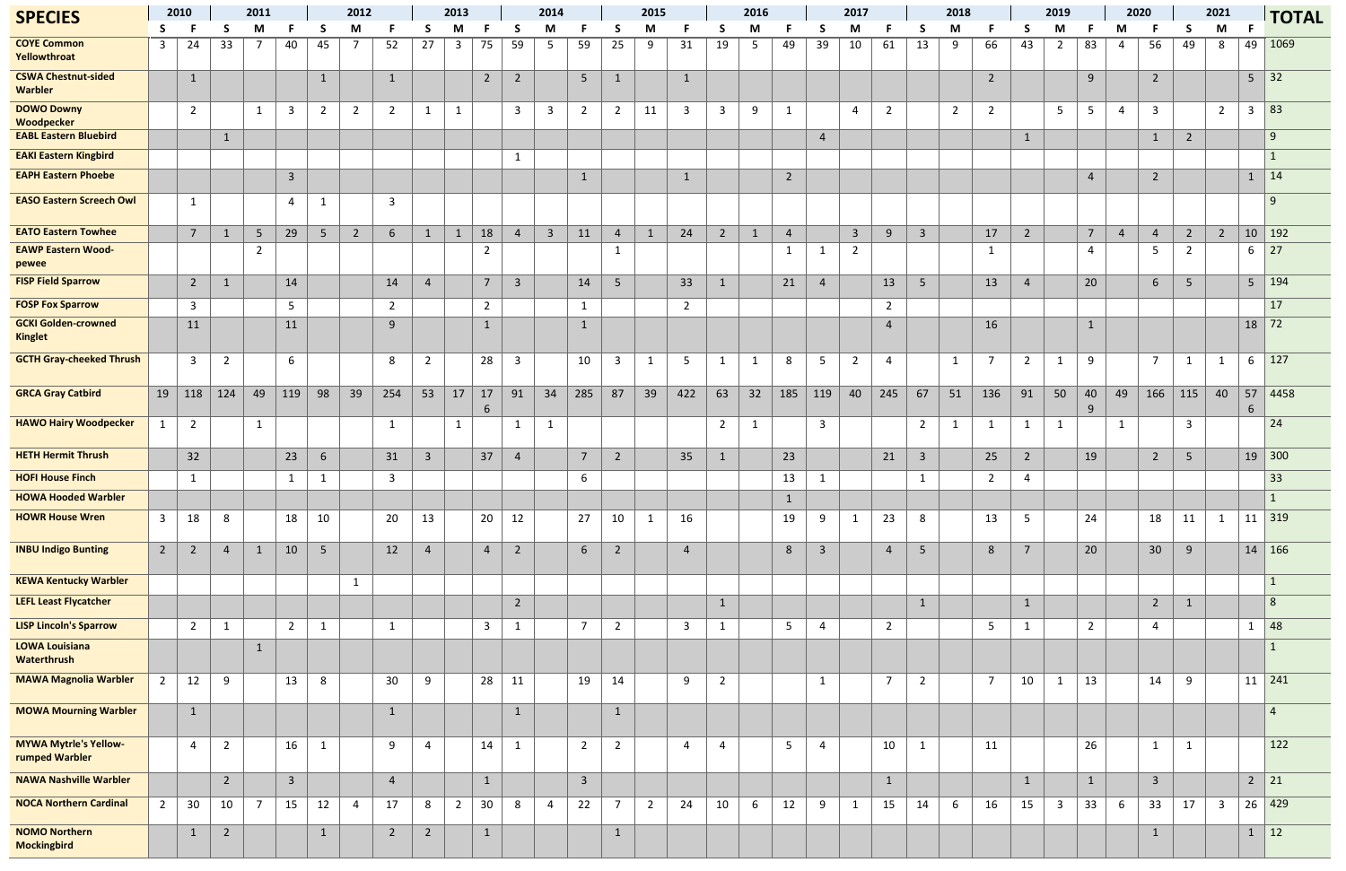| <b>SPECIES</b>                                 |                         | 2010           | 2011           |                | 2012                    |                 |                |                 | 2013                    |                |                | 2014           |                         |                 | 2015           |                |                | 2016           |                |                | 2017           |                |                | 2018           |                |                | 2019            |                |                 | 2020           |                | 2021            |                         | <b>TOTAL</b>          |                                    |
|------------------------------------------------|-------------------------|----------------|----------------|----------------|-------------------------|-----------------|----------------|-----------------|-------------------------|----------------|----------------|----------------|-------------------------|-----------------|----------------|----------------|----------------|----------------|----------------|----------------|----------------|----------------|----------------|----------------|----------------|----------------|-----------------|----------------|-----------------|----------------|----------------|-----------------|-------------------------|-----------------------|------------------------------------|
|                                                | S.                      |                |                | M              |                         |                 | M              |                 |                         | M              |                | <b>S</b>       | M                       |                 | <sub>S</sub>   | M              |                | S              | M              |                |                | M              |                |                | M              |                | S               | M              |                 | М              |                | -S              | M                       |                       |                                    |
| <b>COYE Common</b><br>Yellowthroat             | $\overline{\mathbf{3}}$ | 24             | 33             | $\overline{7}$ | 40                      | 45              | 7              | 52              | 27                      | $\overline{3}$ | 75             | 59             | -5                      | 59              | 25             | 9              | 31             | 19             | 5 <sub>1</sub> | 49             | 39             | 10             | 61             | 13             | 9              | 66             | 43              | $\overline{2}$ | 83              | 4              | 56             | 49              | 8                       | 49                    | 1069                               |
| <b>CSWA Chestnut-sided</b><br><b>Warbler</b>   |                         | $\mathbf{1}$   |                |                |                         | $\mathbf{1}$    |                | $\mathbf{1}$    |                         |                | $\overline{2}$ | $\overline{2}$ |                         | 5 <sub>o</sub>  | $\mathbf{1}$   |                | $\mathbf{1}$   |                |                |                |                |                |                |                |                | $\overline{2}$ |                 |                | 9               |                | $\overline{2}$ |                 |                         |                       | $5 \mid 32$                        |
| <b>DOWO Downy</b><br>Woodpecker                |                         | $\overline{2}$ |                | $\mathbf{1}$   | $\overline{3}$          | $\overline{2}$  | $\overline{2}$ | $\overline{2}$  | $\mathbf{1}$            | $\mathbf{1}$   |                | $\mathbf{3}$   | $\overline{3}$          | $\overline{2}$  | $\overline{2}$ | 11             | $\overline{3}$ | $\mathbf{3}$   | 9              | $\mathbf{1}$   |                | $\overline{4}$ | $\overline{2}$ |                | $\overline{2}$ | $\overline{2}$ |                 | 5              | 5 <sub>5</sub>  | 4              | $\overline{3}$ |                 | $\overline{2}$          | $\mathbf{3}$          | 83                                 |
| <b>EABL Eastern Bluebird</b>                   |                         |                | 1              |                |                         |                 |                |                 |                         |                |                |                |                         |                 |                |                |                |                |                |                | $\overline{4}$ |                |                |                |                |                | $\mathbf{1}$    |                |                 |                | $\mathbf{1}$   | $\overline{2}$  |                         |                       | 9                                  |
| <b>EAKI Eastern Kingbird</b>                   |                         |                |                |                |                         |                 |                |                 |                         |                |                | $\mathbf{1}$   |                         |                 |                |                |                |                |                |                |                |                |                |                |                |                |                 |                |                 |                |                |                 |                         |                       | $\mathbf{1}$                       |
| <b>EAPH Eastern Phoebe</b>                     |                         |                |                |                | $\overline{\mathbf{3}}$ |                 |                |                 |                         |                |                |                |                         | $\mathbf{1}$    |                |                | $\mathbf{1}$   |                |                | $\overline{2}$ |                |                |                |                |                |                |                 |                | $\overline{4}$  |                | $\overline{2}$ |                 |                         | $1 \mid 14$           |                                    |
| <b>EASO Eastern Screech Owl</b>                |                         | $\mathbf{1}$   |                |                | $\overline{4}$          | $\mathbf{1}$    |                | $\overline{3}$  |                         |                |                |                |                         |                 |                |                |                |                |                |                |                |                |                |                |                |                |                 |                |                 |                |                |                 |                         |                       | <sub>q</sub>                       |
| <b>EATO Eastern Towhee</b>                     |                         | 7 <sup>7</sup> | $\mathbf{1}$   | 5 <sup>5</sup> | 29                      | 5 <sub>5</sub>  | $\overline{2}$ | $6\overline{6}$ | $\mathbf{1}$            | $\mathbf{1}$   | 18             | $\overline{4}$ | $\overline{\mathbf{3}}$ | 11              | $\overline{4}$ | $\mathbf{1}$   | 24             | $2^{\circ}$    | $\mathbf{1}$   | $\overline{4}$ |                | $\overline{3}$ | 9              | $\overline{3}$ |                | 17             | $\overline{2}$  |                | $7\overline{ }$ | $\overline{4}$ | $\overline{4}$ | $\overline{2}$  | $\overline{2}$          |                       | 10   192                           |
| <b>EAWP Eastern Wood-</b><br>pewee             |                         |                |                | $\overline{2}$ |                         |                 |                |                 |                         |                | 2              |                |                         |                 | 1              |                |                |                |                | 1              | $\mathbf 1$    | $\overline{2}$ |                |                |                | $\mathbf{1}$   |                 |                | 4               |                | -5             | $\overline{2}$  |                         | 6                     | $\sqrt{27}$                        |
| <b>FISP Field Sparrow</b>                      |                         | $\overline{2}$ | $\mathbf{1}$   |                | 14                      |                 |                | 14              | $\overline{4}$          |                | $\overline{7}$ | $\overline{3}$ |                         | 14              | 5 <sub>5</sub> |                | 33             | $\mathbf{1}$   |                | 21             | $\overline{4}$ |                | 13             | 5 <sub>o</sub> |                | 13             | $\overline{4}$  |                | 20              |                | $6\,$          | 5               |                         |                       | $5 \mid 194$                       |
| <b>FOSP Fox Sparrow</b>                        |                         | $\mathbf{3}$   |                |                | 5                       |                 |                | $\overline{2}$  |                         |                | $\overline{2}$ |                |                         | $\mathbf{1}$    |                |                | $\overline{2}$ |                |                |                |                |                | $\overline{2}$ |                |                |                |                 |                |                 |                |                |                 |                         |                       | 17                                 |
| <b>GCKI Golden-crowned</b><br><b>Kinglet</b>   |                         | 11             |                |                | 11                      |                 |                | 9               |                         |                | 1              |                |                         | $\mathbf{1}$    |                |                |                |                |                |                |                |                | $\overline{a}$ |                |                | 16             |                 |                | $\mathbf{1}$    |                |                |                 |                         | $18$ 72               |                                    |
| <b>GCTH Gray-cheeked Thrush</b>                |                         | $\mathbf{3}$   | $\overline{2}$ |                | 6                       |                 |                | 8               | $\overline{2}$          |                | 28             | $\mathbf{3}$   |                         | 10              | $\overline{3}$ | 1              | 5 <sup>5</sup> | $\mathbf{1}$   | $\mathbf{1}$   | 8              | 5              | $\overline{2}$ | $\overline{4}$ |                | $\mathbf{1}$   | $\overline{7}$ | $\overline{2}$  | $\mathbf{1}$   | 9               |                | $\overline{7}$ | $\mathbf{1}$    | $\mathbf{1}$            | 6                     | 127                                |
| <b>GRCA Gray Catbird</b>                       | 19                      | 118            | 124            | 49             | 119                     | 98              | 39             | 254             | 53                      | 17             | 17<br>6        | 91             | 34                      | 285             | 87             | 39             | 422            | 63             | 32             | 185            | 119            | 40             | 245            | 67             | 51             | 136            | 91              | 50             | 40<br>9         | 49             | 166            | 115             | 40                      | 57<br>$6\phantom{1}6$ | 4458                               |
| <b>HAWO Hairy Woodpecker</b>                   | 1                       | $\overline{2}$ |                | 1              |                         |                 |                | $\mathbf{1}$    |                         | $\mathbf{1}$   |                | 1              | $\mathbf{1}$            |                 |                |                |                | $\overline{2}$ | -1             |                | $\overline{3}$ |                |                | $\overline{2}$ | $\mathbf{1}$   | $\mathbf{1}$   | $\mathbf{1}$    | $\mathbf{1}$   |                 | 1              |                | 3               |                         |                       | 24                                 |
| <b>HETH Hermit Thrush</b>                      |                         | 32             |                |                | 23                      | 6               |                | 31              | $\overline{\mathbf{3}}$ |                | 37             | $\overline{4}$ |                         | $7\overline{ }$ | $\overline{2}$ |                | 35             | $\mathbf{1}$   |                | 23             |                |                | 21             | $\overline{3}$ |                | 25             | $\overline{2}$  |                | 19              |                | $\overline{2}$ | $5\phantom{.0}$ |                         |                       | $19 \mid 300$                      |
| <b>HOFI House Finch</b>                        |                         | $\mathbf{1}$   |                |                | $\mathbf{1}$            | $\mathbf{1}$    |                | $\overline{3}$  |                         |                |                |                |                         | 6               |                |                |                |                |                | 13             |                |                |                | -1             |                | $\overline{2}$ | $\overline{4}$  |                |                 |                |                |                 |                         |                       | 33                                 |
| <b>HOWA Hooded Warbler</b>                     |                         |                |                |                |                         |                 |                |                 |                         |                |                |                |                         |                 |                |                |                |                |                | 1              |                |                |                |                |                |                |                 |                |                 |                |                |                 |                         |                       | $\mathbf{1}$                       |
| <b>HOWR House Wren</b>                         | $\mathbf{3}$            | 18             | 8              |                | 18                      | 10              |                | 20              | 13                      |                | 20             | 12             |                         | 27              | 10             | $\mathbf{1}$   | 16             |                |                | 19             | 9              | $\mathbf{1}$   | 23             | 8              |                | 13             | $5\overline{)}$ |                | 24              |                | 18             | 11              | $\mathbf{1}$            |                       | $11 \overline{\smash{\big)}\}$ 319 |
| <b>INBU Indigo Bunting</b>                     | $2^{\circ}$             | $\overline{2}$ | $\overline{4}$ | $\mathbf{1}$   | 10                      | $5\overline{)}$ |                | 12              | $\overline{4}$          |                | $\overline{4}$ | $\overline{2}$ |                         | $6\overline{6}$ | $\overline{2}$ |                | $\overline{4}$ |                |                | $\,8$          | $\overline{3}$ |                | $\overline{4}$ | 5 <sub>o</sub> |                | 8              | $\overline{7}$  |                | 20              |                | 30             | 9               |                         |                       | 14 166                             |
| <b>KEWA Kentucky Warbler</b>                   |                         |                |                |                |                         |                 | $\mathbf{1}$   |                 |                         |                |                |                |                         |                 |                |                |                |                |                |                |                |                |                |                |                |                |                 |                |                 |                |                |                 |                         |                       | $\mathbf{1}$                       |
| <b>LEFL Least Flycatcher</b>                   |                         |                |                |                |                         |                 |                |                 |                         |                |                | $\overline{2}$ |                         |                 |                |                |                | $\mathbf{1}$   |                |                |                |                |                | $\mathbf{1}$   |                |                | $\mathbf{1}$    |                |                 |                | $\overline{2}$ | $\mathbf{1}$    |                         |                       | 8 <sup>°</sup>                     |
| <b>LISP Lincoln's Sparrow</b>                  |                         | $\overline{2}$ | 1              |                | $\overline{2}$          | $\mathbf{1}$    |                | $\mathbf{1}$    |                         |                | $\overline{3}$ | 1              |                         | $\overline{7}$  | $\overline{2}$ |                | $\overline{3}$ | $\mathbf{1}$   |                | 5              | $\overline{4}$ |                | $\overline{2}$ |                |                | 5              | $\mathbf{1}$    |                | $\overline{2}$  |                | $\overline{4}$ |                 |                         | $\mathbf{1}$          | 48                                 |
| <b>LOWA Louisiana</b><br><b>Waterthrush</b>    |                         |                |                | -1             |                         |                 |                |                 |                         |                |                |                |                         |                 |                |                |                |                |                |                |                |                |                |                |                |                |                 |                |                 |                |                |                 |                         |                       | $\mathbf{1}$                       |
| <b>MAWA Magnolia Warbler</b>                   | $2^{\circ}$             | 12             | 9              |                | 13                      | $8\phantom{1}$  |                | 30 <sup>°</sup> | 9                       |                | 28             | 11             |                         | 19              | 14             |                | 9              | $\overline{2}$ |                |                | $\mathbf{1}$   |                | $\overline{7}$ | $\overline{2}$ |                | $\overline{7}$ | 10              | $\mathbf{1}$   | 13              |                | 14             | 9               |                         |                       | $11 \mid 241$                      |
| <b>MOWA Mourning Warbler</b>                   |                         | $\mathbf{1}$   |                |                |                         |                 |                | $\mathbf{1}$    |                         |                |                | $\mathbf{1}$   |                         |                 | $\mathbf{1}$   |                |                |                |                |                |                |                |                |                |                |                |                 |                |                 |                |                |                 |                         |                       | $\overline{4}$                     |
| <b>MYWA Mytrie's Yellow-</b><br>rumped Warbler |                         | $\overline{4}$ | $\overline{2}$ |                | 16                      | $\mathbf{1}$    |                | 9               | $\overline{4}$          |                | 14             | $\mathbf{1}$   |                         | $2^{\circ}$     | $\overline{2}$ |                | $\overline{4}$ | $\overline{4}$ |                | 5              | $\overline{4}$ |                | 10             | $\mathbf{1}$   |                | 11             |                 |                | 26              |                | 1              | $\mathbf{1}$    |                         |                       | 122                                |
| <b>NAWA Nashville Warbler</b>                  |                         |                | $\overline{2}$ |                | $\overline{3}$          |                 |                | $\overline{4}$  |                         |                | $\mathbf{1}$   |                |                         | $\mathbf{3}$    |                |                |                |                |                |                |                |                | $\mathbf{1}$   |                |                |                | $\mathbf{1}$    |                | $\mathbf{1}$    |                | $\overline{3}$ |                 |                         | $\overline{2}$        | $\vert$ 21                         |
| <b>NOCA Northern Cardinal</b>                  | $2^{\circ}$             | 30             | 10             | $\overline{7}$ | 15                      | 12              | $\overline{4}$ | 17              | 8                       | $2^{\circ}$    | 30             | 8              | $\overline{4}$          | 22              | $\overline{7}$ | $\overline{2}$ | 24             | 10             | 6              | 12             | 9              | $\mathbf{1}$   | 15             | 14             | 6              | 16             | 15              | $\overline{3}$ | 33              | 6              | 33             | 17              | $\overline{\mathbf{3}}$ |                       | 26 429                             |
| <b>NOMO Northern</b><br><b>Mockingbird</b>     |                         | $\mathbf{1}$   | $\overline{2}$ |                |                         | $\mathbf{1}$    |                | $\overline{2}$  | $\overline{2}$          |                | $\mathbf{1}$   |                |                         |                 | $\mathbf{1}$   |                |                |                |                |                |                |                |                |                |                |                |                 |                |                 |                | $\mathbf{1}$   |                 |                         | $\mathbf{1}$          | $\vert$ 12                         |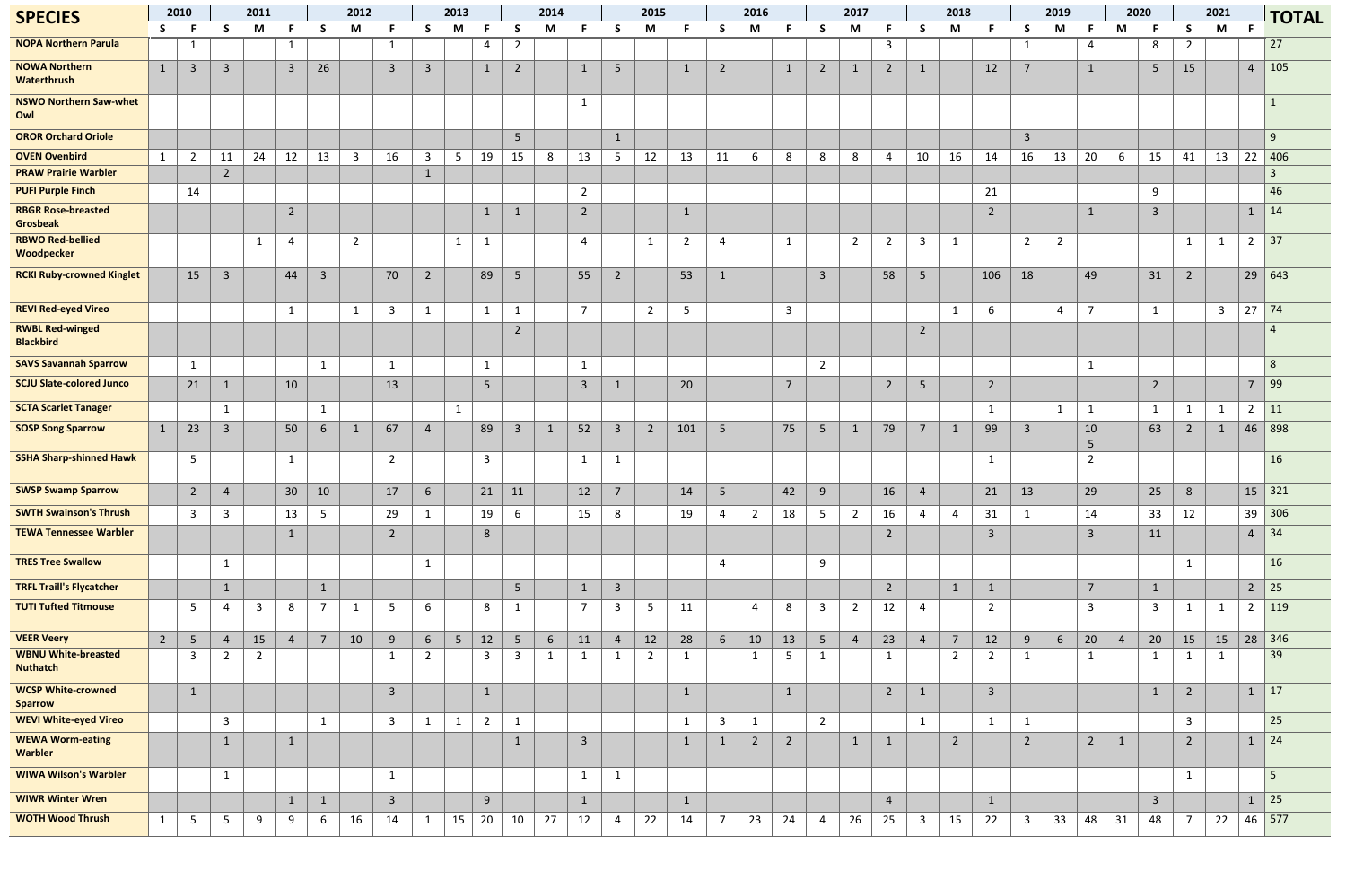| <b>SPECIES</b>                                 |              | 2010            | 2011           |                | 2012           |                         |                |                 | 2013                    |                 |                | 2014           |                 |                | 2015           |                |                | 2016            |                |                | 2017           |                |                         | 2018           |                |                         | 2019           |                |                      | 2020           |                         | 2021                    |              | <b>TOTAL</b>   |               |
|------------------------------------------------|--------------|-----------------|----------------|----------------|----------------|-------------------------|----------------|-----------------|-------------------------|-----------------|----------------|----------------|-----------------|----------------|----------------|----------------|----------------|-----------------|----------------|----------------|----------------|----------------|-------------------------|----------------|----------------|-------------------------|----------------|----------------|----------------------|----------------|-------------------------|-------------------------|--------------|----------------|---------------|
|                                                | S.           | - F             | S.             | M              | - F            | <b>S</b>                | M              |                 | S.                      | M               |                | S.             | M               |                | -S             | M              |                | <b>S</b>        | M              |                | S.             | M              |                         | S              | M              |                         | S              | M              |                      | M              |                         | S                       | M            |                |               |
| <b>NOPA Northern Parula</b>                    |              | $\mathbf{1}$    |                |                | $\mathbf{1}$   |                         |                | <sup>1</sup>    |                         |                 | 4              | $\overline{2}$ |                 |                |                |                |                |                 |                |                |                |                | $\overline{\mathbf{3}}$ |                |                |                         | $\mathbf{1}$   |                | 4                    |                | 8                       | $\overline{2}$          |              |                | 27            |
| <b>NOWA Northern</b><br>Waterthrush            | $\mathbf{1}$ | $\overline{3}$  | $\overline{3}$ |                | $\overline{3}$ | 26                      |                | $\overline{3}$  | $\overline{3}$          |                 | $\mathbf{1}$   | $\overline{2}$ |                 | $\mathbf{1}$   | 5              |                | $\mathbf{1}$   | $\overline{2}$  |                | $\mathbf{1}$   | $\overline{2}$ | $\mathbf{1}$   | $\overline{2}$          | $\mathbf{1}$   |                | 12                      | $\overline{7}$ |                |                      |                | 5                       | 15                      |              | $\overline{4}$ | 105           |
| <b>NSWO Northern Saw-whet</b><br>Owl           |              |                 |                |                |                |                         |                |                 |                         |                 |                |                |                 | $\mathbf{1}$   |                |                |                |                 |                |                |                |                |                         |                |                |                         |                |                |                      |                |                         |                         |              |                | $\mathbf{1}$  |
| <b>OROR Orchard Oriole</b>                     |              |                 |                |                |                |                         |                |                 |                         |                 |                | 5 <sub>1</sub> |                 |                | $\mathbf{1}$   |                |                |                 |                |                |                |                |                         |                |                |                         | $\overline{3}$ |                |                      |                |                         |                         |              |                | 9             |
| <b>OVEN Ovenbird</b>                           | $\mathbf{1}$ | $\overline{2}$  | 11             | 24             | 12             | 13                      | $\overline{3}$ | 16              | $\overline{\mathbf{3}}$ | 5               | 19             | 15             | 8               | 13             | 5 <sup>5</sup> | 12             | 13             | 11              | 6              | 8              | 8              | 8              | 4                       | 10             | 16             | 14                      | 16             | 13             | 20                   | -6             | 15                      | 41                      | 13           | 22             | 406           |
| <b>PRAW Prairie Warbler</b>                    |              |                 | $\overline{2}$ |                |                |                         |                |                 | $\mathbf{1}$            |                 |                |                |                 |                |                |                |                |                 |                |                |                |                |                         |                |                |                         |                |                |                      |                |                         |                         |              |                | 3             |
| <b>PUFI Purple Finch</b>                       |              | 14              |                |                |                |                         |                |                 |                         |                 |                |                |                 | $\overline{2}$ |                |                |                |                 |                |                |                |                |                         |                |                | 21                      |                |                |                      |                | 9                       |                         |              |                | 46            |
| <b>RBGR Rose-breasted</b><br><b>Grosbeak</b>   |              |                 |                |                | $\overline{2}$ |                         |                |                 |                         |                 | -1             | 1              |                 | $\overline{2}$ |                |                | -1             |                 |                |                |                |                |                         |                |                | $\overline{2}$          |                |                |                      |                | $\overline{\mathbf{3}}$ |                         |              | $\mathbf{1}$   | $\vert$ 14    |
| <b>RBWO Red-bellied</b><br>Woodpecker          |              |                 |                | -1             | 4              |                         | $\overline{2}$ |                 |                         | $\mathbf{1}$    | $\mathbf{1}$   |                |                 | $\overline{4}$ |                | $\mathbf{1}$   | $\overline{2}$ | $\overline{4}$  |                | $\mathbf{1}$   |                | $\overline{2}$ | $\overline{2}$          | $\mathbf{3}$   | $\mathbf{1}$   |                         | $\overline{2}$ | $\overline{2}$ |                      |                |                         | $\mathbf{1}$            | $\mathbf{1}$ | $\overline{2}$ | 37            |
| <b>RCKI Ruby-crowned Kinglet</b>               |              | 15              | $\overline{3}$ |                | 44             | $\overline{\mathbf{3}}$ |                | 70              | $\overline{2}$          |                 | 89             | 5 <sub>o</sub> |                 | 55             | $\overline{2}$ |                | 53             | $\mathbf{1}$    |                |                | $\overline{3}$ |                | 58                      | 5 <sub>o</sub> |                | 106                     | 18             |                | 49                   |                | 31                      | $\overline{2}$          |              | 29             | 643           |
| <b>REVI Red-eyed Vireo</b>                     |              |                 |                |                | 1              |                         | $\mathbf{1}$   | $\overline{3}$  | $\mathbf{1}$            |                 | $\mathbf{1}$   | $\mathbf{1}$   |                 | $\overline{7}$ |                | $\overline{2}$ | 5              |                 |                | $\overline{3}$ |                |                |                         |                | $\mathbf{1}$   | 6                       |                | $\overline{4}$ | $\overline{7}$       |                | $\mathbf{1}$            |                         | $\mathbf{3}$ | $27$ 74        |               |
| <b>RWBL Red-winged</b><br><b>Blackbird</b>     |              |                 |                |                |                |                         |                |                 |                         |                 |                | $\overline{2}$ |                 |                |                |                |                |                 |                |                |                |                |                         | $\overline{2}$ |                |                         |                |                |                      |                |                         |                         |              |                | 4             |
| <b>SAVS Savannah Sparrow</b>                   |              | $\mathbf{1}$    |                |                |                | 1                       |                | $\mathbf 1$     |                         |                 | $\mathbf{1}$   |                |                 | $\mathbf{1}$   |                |                |                |                 |                |                | $\overline{2}$ |                |                         |                |                |                         |                |                | $\mathbf 1$          |                |                         |                         |              |                | 8             |
| <b>SCJU Slate-colored Junco</b>                |              | 21              | $\mathbf{1}$   |                | 10             |                         |                | 13              |                         |                 | 5 <sup>5</sup> |                |                 | $\overline{3}$ | $\mathbf{1}$   |                | 20             |                 |                | $\overline{7}$ |                |                | $\overline{2}$          | 5 <sub>o</sub> |                | $\overline{2}$          |                |                |                      |                | $\overline{2}$          |                         |              | $\overline{7}$ | 99            |
| <b>SCTA Scarlet Tanager</b>                    |              |                 | 1              |                |                | $\mathbf{1}$            |                |                 |                         | $\mathbf{1}$    |                |                |                 |                |                |                |                |                 |                |                |                |                |                         |                |                | $\mathbf{1}$            |                | $\mathbf{1}$   | $\mathbf{1}$         |                | -1                      | 1                       | -1           | $\overline{2}$ | $\vert$ 11    |
| <b>SOSP Song Sparrow</b>                       | $\mathbf{1}$ | 23              | $\mathbf{3}$   |                | 50             | 6                       |                | 67              | $\overline{4}$          |                 | 89             | $\overline{3}$ | $\mathbf{1}$    | 52             | $\overline{3}$ | $\overline{2}$ | 101            | $\sqrt{5}$      |                | 75             | $5\phantom{.}$ | $\mathbf{1}$   | 79                      | $\overline{7}$ | $\mathbf{1}$   | 99                      | $\overline{3}$ |                | 10<br>5 <sub>o</sub> |                | 63                      | $\overline{2}$          | 1            | 46             | 898           |
| <b>SSHA Sharp-shinned Hawk</b>                 |              | $5\overline{)}$ |                |                | 1              |                         |                | $\overline{2}$  |                         |                 | $\overline{3}$ |                |                 | $\mathbf{1}$   | $\mathbf{1}$   |                |                |                 |                |                |                |                |                         |                |                | 1                       |                |                | $\overline{2}$       |                |                         |                         |              |                | 16            |
| <b>SWSP Swamp Sparrow</b>                      |              | $2^{\circ}$     | $\overline{4}$ |                | 30             | 10                      |                | 17              | 6                       |                 | 21             | 11             |                 | 12             | $\overline{7}$ |                | 14             | 5 <sup>5</sup>  |                | 42             | 9              |                | 16                      | $\overline{4}$ |                | 21                      | 13             |                | 29                   |                | 25                      | $8\phantom{1}$          |              |                | $15$ 321      |
| <b>SWTH Swainson's Thrush</b>                  |              | $\mathbf{3}$    | $\mathbf{3}$   |                | 13             | $5\phantom{.0}$         |                | 29              | $\mathbf{1}$            |                 | 19             | 6              |                 | 15             | 8              |                | 19             | $\overline{4}$  | $\overline{2}$ | 18             | 5              | $\overline{2}$ | 16                      | 4              | $\overline{4}$ | 31                      | $\mathbf{1}$   |                | 14                   |                | 33                      | 12                      |              |                | 39 306        |
| <b>TEWA Tennessee Warbler</b>                  |              |                 |                |                | $\mathbf{1}$   |                         |                | $\overline{2}$  |                         |                 | $8\phantom{1}$ |                |                 |                |                |                |                |                 |                |                |                |                | $\overline{2}$          |                |                | $\overline{3}$          |                |                | $\overline{3}$       |                | 11                      |                         |              | $\overline{4}$ | 34            |
| <b>TRES Tree Swallow</b>                       |              |                 | $\mathbf{1}$   |                |                |                         |                |                 | $\mathbf{1}$            |                 |                |                |                 |                |                |                |                | $\overline{4}$  |                |                | 9              |                |                         |                |                |                         |                |                |                      |                |                         | 1                       |              |                | 16            |
| <b>TRFL Traill's Flycatcher</b>                |              |                 | $\mathbf{1}$   |                |                | $\mathbf{1}$            |                |                 |                         |                 |                | 5 <sub>1</sub> |                 | $\mathbf{1}$   | $\overline{3}$ |                |                |                 |                |                |                |                | $\overline{2}$          |                | $\mathbf{1}$   | $\mathbf{1}$            |                |                | $7\overline{ }$      |                | $\mathbf{1}$            |                         |              | $2^{\circ}$    | $\vert$ 25    |
| <b>TUTI Tufted Titmouse</b>                    |              | 5 <sub>1</sub>  | 4              | $\overline{3}$ | 8              | $\overline{7}$          | $\mathbf{1}$   | $5\phantom{.0}$ | 6                       |                 | 8              | $\mathbf{1}$   |                 | $\overline{7}$ | $\overline{3}$ | 5 <sub>1</sub> | 11             |                 | 4              | 8              | $\overline{3}$ | $\overline{2}$ | 12                      | $\overline{4}$ |                | $\overline{2}$          |                |                | $\overline{3}$       |                | $\overline{3}$          | $\mathbf{1}$            | $\mathbf{1}$ | $\overline{2}$ | $ 119\rangle$ |
| <b>VEER Veery</b>                              | $2^{\circ}$  | $5\phantom{.0}$ | $\overline{4}$ | 15             | $\overline{4}$ | $\overline{7}$          | 10             | $9$             | $6\overline{6}$         | $5\phantom{.0}$ | 12             | $5\phantom{.}$ | $6\phantom{.}6$ | 11             | $\overline{4}$ | 12             | 28             | $6\overline{6}$ | 10             | 13             | $5\phantom{.}$ | $\overline{4}$ | 23                      | $\overline{4}$ | $\overline{7}$ | 12                      | 9              | $6\phantom{1}$ | 20                   | $\overline{4}$ | 20                      | 15                      | 15           |                | $28 \mid 346$ |
| <b>WBNU White-breasted</b><br><b>Nuthatch</b>  |              | $\mathbf{3}$    | $\overline{2}$ | $\overline{2}$ |                |                         |                | $\mathbf{1}$    | $\overline{2}$          |                 | 3              | 3              | $\mathbf{1}$    | $\mathbf{1}$   | $\mathbf{1}$   | $\overline{2}$ | $\mathbf{1}$   |                 | $\mathbf{1}$   | 5              | $\mathbf 1$    |                | $\mathbf{1}$            |                | $\overline{2}$ | $\overline{2}$          | $\mathbf{1}$   |                |                      |                | $\mathbf{1}$            | $\mathbf{1}$            | $\mathbf{1}$ |                | 39            |
| <b>WCSP White-crowned</b>                      |              | $\mathbf{1}$    |                |                |                |                         |                | $\overline{3}$  |                         |                 | $\mathbf{1}$   |                |                 |                |                |                | $\mathbf{1}$   |                 |                | $\mathbf{1}$   |                |                | $\overline{2}$          | $\mathbf{1}$   |                | $\overline{\mathbf{3}}$ |                |                |                      |                | $\mathbf{1}$            | $\overline{2}$          |              | $\mathbf{1}$   | $\vert$ 17    |
| <b>Sparrow</b><br><b>WEVI White-eyed Vireo</b> |              |                 | $\mathbf{3}$   |                |                | $\mathbf{1}$            |                | $\overline{3}$  | $\mathbf{1}$            | $\mathbf{1}$    | $\overline{2}$ | $\mathbf{1}$   |                 |                |                |                | $\mathbf{1}$   | $\mathbf{3}$    | $\mathbf{1}$   |                | $2^{\circ}$    |                |                         | 1              |                | $\mathbf{1}$            | $\mathbf{1}$   |                |                      |                |                         | $\overline{\mathbf{3}}$ |              |                | 25            |
| <b>WEWA Worm-eating</b><br>Warbler             |              |                 | $\mathbf{1}$   |                | $\mathbf{1}$   |                         |                |                 |                         |                 |                | $\mathbf{1}$   |                 | $\overline{3}$ |                |                | $\mathbf{1}$   | $\mathbf{1}$    | $\overline{2}$ | $\overline{2}$ |                | $\mathbf{1}$   | $\mathbf{1}$            |                | $\overline{2}$ |                         | $\overline{2}$ |                | $\overline{2}$       | $\mathbf{1}$   |                         | $\overline{2}$          |              | $\mathbf{1}$   | $\vert$ 24    |
| <b>WIWA Wilson's Warbler</b>                   |              |                 | $\mathbf{1}$   |                |                |                         |                | $\mathbf{1}$    |                         |                 |                |                |                 | $\mathbf{1}$   | $\mathbf{1}$   |                |                |                 |                |                |                |                |                         |                |                |                         |                |                |                      |                |                         | $\mathbf{1}$            |              |                | 5             |
| <b>WIWR Winter Wren</b>                        |              |                 |                |                | $\mathbf{1}$   | $\mathbf{1}$            |                | $\overline{3}$  |                         |                 | 9              |                |                 | $\mathbf{1}$   |                |                | $\mathbf{1}$   |                 |                |                |                |                | $\overline{4}$          |                |                | $\mathbf{1}$            |                |                |                      |                | $\overline{3}$          |                         |              | $\mathbf{1}$   | $\vert$ 25    |
| <b>WOTH Wood Thrush</b>                        | $\mathbf{1}$ | 5               | 5              | 9              | 9              | 6                       | 16             | 14              | $\mathbf{1}$            | 15              | 20             | 10             | 27              | 12             | $\overline{4}$ | 22             | 14             | $\overline{7}$  | 23             | 24             | 4              | 26             | 25                      | $\mathbf{3}$   | 15             | 22                      | $\overline{3}$ | 33             | 48                   | 31             | 48                      | $\overline{7}$          | 22           |                | 46 577        |